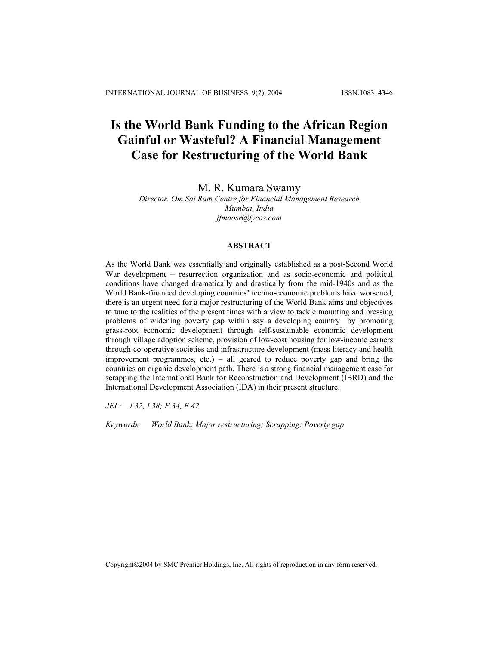# **Is the World Bank Funding to the African Region Gainful or Wasteful? A Financial Management Case for Restructuring of the World Bank**

## M. R. Kumara Swamy

## *Director, Om Sai Ram Centre for Financial Management Research Mumbai, India jfmaosr@lycos.com*

## **ABSTRACT**

As the World Bank was essentially and originally established as a post-Second World War development – resurrection organization and as socio-economic and political conditions have changed dramatically and drastically from the mid-1940s and as the World Bank-financed developing countries' techno-economic problems have worsened, there is an urgent need for a major restructuring of the World Bank aims and objectives to tune to the realities of the present times with a view to tackle mounting and pressing problems of widening poverty gap within say a developing country by promoting grass-root economic development through self-sustainable economic development through village adoption scheme, provision of low-cost housing for low-income earners through co-operative societies and infrastructure development (mass literacy and health improvement programmes, etc.) – all geared to reduce poverty gap and bring the countries on organic development path. There is a strong financial management case for scrapping the International Bank for Reconstruction and Development (IBRD) and the International Development Association (IDA) in their present structure.

*JEL: I 32, I 38; F 34, F 42* 

*Keywords: World Bank; Major restructuring; Scrapping; Poverty gap*

Copyright©2004 by SMC Premier Holdings, Inc. All rights of reproduction in any form reserved.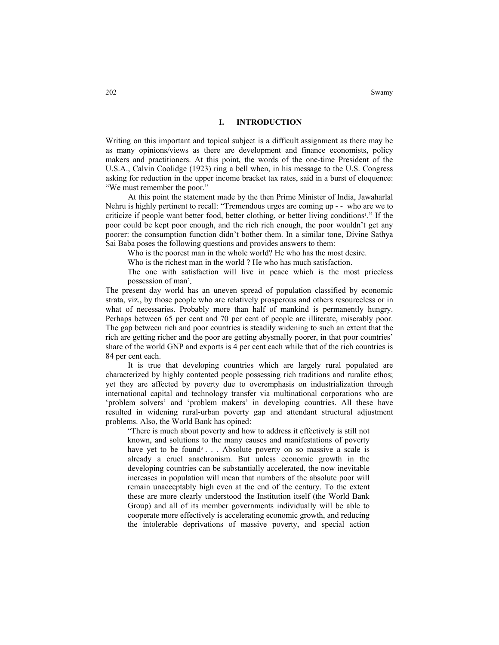## **I. INTRODUCTION**

Writing on this important and topical subject is a difficult assignment as there may be as many opinions/views as there are development and finance economists, policy makers and practitioners. At this point, the words of the one-time President of the U.S.A., Calvin Coolidge (1923) ring a bell when, in his message to the U.S. Congress asking for reduction in the upper income bracket tax rates, said in a burst of eloquence: "We must remember the poor."

At this point the statement made by the then Prime Minister of India, Jawaharlal Nehru is highly pertinent to recall: "Tremendous urges are coming up - - who are we to criticize if people want better food, better clothing, or better living conditions<sup>1</sup>." If the poor could be kept poor enough, and the rich rich enough, the poor wouldn't get any poorer: the consumption function didn't bother them. In a similar tone, Divine Sathya Sai Baba poses the following questions and provides answers to them:

Who is the poorest man in the whole world? He who has the most desire.

Who is the richest man in the world ? He who has much satisfaction.

The one with satisfaction will live in peace which is the most priceless possession of man<sup>2</sup>.

The present day world has an uneven spread of population classified by economic strata, viz., by those people who are relatively prosperous and others resourceless or in what of necessaries. Probably more than half of mankind is permanently hungry. Perhaps between 65 per cent and 70 per cent of people are illiterate, miserably poor. The gap between rich and poor countries is steadily widening to such an extent that the rich are getting richer and the poor are getting abysmally poorer, in that poor countries' share of the world GNP and exports is 4 per cent each while that of the rich countries is 84 per cent each.

It is true that developing countries which are largely rural populated are characterized by highly contented people possessing rich traditions and ruralite ethos; yet they are affected by poverty due to overemphasis on industrialization through international capital and technology transfer via multinational corporations who are 'problem solvers' and 'problem makers' in developing countries. All these have resulted in widening rural-urban poverty gap and attendant structural adjustment problems. Also, the World Bank has opined:

"There is much about poverty and how to address it effectively is still not known, and solutions to the many causes and manifestations of poverty have yet to be found<sup>3</sup>... Absolute poverty on so massive a scale is already a cruel anachronism. But unless economic growth in the developing countries can be substantially accelerated, the now inevitable increases in population will mean that numbers of the absolute poor will remain unacceptably high even at the end of the century. To the extent these are more clearly understood the Institution itself (the World Bank Group) and all of its member governments individually will be able to cooperate more effectively is accelerating economic growth, and reducing the intolerable deprivations of massive poverty, and special action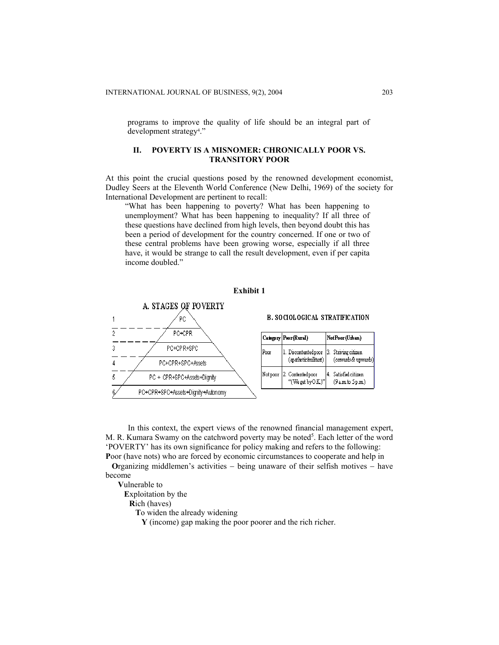programs to improve the quality of life should be an integral part of development strategy4 ."

## **II. POVERTY IS A MISNOMER: CHRONICALLY POOR VS. TRANSITORY POOR**

At this point the crucial questions posed by the renowned development economist, Dudley Seers at the Eleventh World Conference (New Delhi, 1969) of the society for International Development are pertinent to recall:

"What has been happening to poverty? What has been happening to unemployment? What has been happening to inequality? If all three of these questions have declined from high levels, then beyond doubt this has been a period of development for the country concerned. If one or two of these central problems have been growing worse, especially if all three have, it would be strange to call the result development, even if per capita income doubled."

**Exhibit 1** 



In this context, the expert views of the renowned financial management expert, M. R. Kumara Swamy on the catchword poverty may be noted<sup>5</sup>. Each letter of the word 'POVERTY' has its own significance for policy making and refers to the following: **P**oor (have nots) who are forced by economic circumstances to cooperate and help in

 **O**rganizing middlemen's activities − being unaware of their selfish motives − have become

 **V**ulnerable to

**E**xploitation by the

**R**ich (haves)

**T**o widen the already widening

**Y** (income) gap making the poor poorer and the rich richer.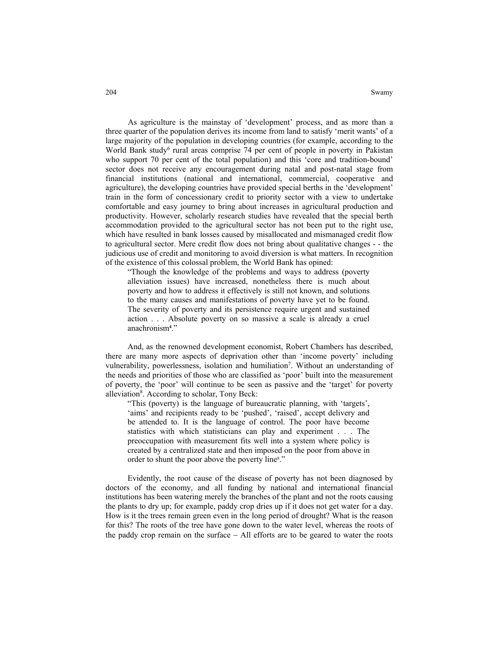As agriculture is the mainstay of 'development' process, and as more than a three quarter of the population derives its income from land to satisfy 'merit wants' of a large majority of the population in developing countries (for example, according to the World Bank study<sup>6</sup> rural areas comprise 74 per cent of people in poverty in Pakistan who support 70 per cent of the total population) and this 'core and tradition-bound' sector does not receive any encouragement during natal and post-natal stage from financial institutions (national and international, commercial, cooperative and agriculture), the developing countries have provided special berths in the 'development' train in the form of concessionary credit to priority sector with a view to undertake comfortable and easy journey to bring about increases in agricultural production and productivity. However, scholarly research studies have revealed that the special berth accommodation provided to the agricultural sector has not been put to the right use, which have resulted in bank losses caused by misallocated and mismanaged credit flow to agricultural sector. Mere credit flow does not bring about qualitative changes - - the judicious use of credit and monitoring to avoid diversion is what matters. In recognition of the existence of this colossal problem, the World Bank has opined:

"Though the knowledge of the problems and ways to address (poverty alleviation issues) have increased, nonetheless there is much about poverty and how to address it effectively is still not known, and solutions to the many causes and manifestations of poverty have yet to be found. The severity of poverty and its persistence require urgent and sustained action . . . Absolute poverty on so massive a scale is already a cruel anachronism**<sup>4</sup>** ."

And, as the renowned development economist, Robert Chambers has described, there are many more aspects of deprivation other than 'income poverty' including vulnerability, powerlessness, isolation and humiliation<sup>7</sup>. Without an understanding of the needs and priorities of those who are classified as 'poor' built into the measurement of poverty, the 'poor' will continue to be seen as passive and the 'target' for poverty alleviation<sup>8</sup>. According to scholar, Tony Beck:

"This (poverty) is the language of bureaucratic planning, with 'targets', 'aims' and recipients ready to be 'pushed', 'raised', accept delivery and be attended to. It is the language of control. The poor have become statistics with which statisticians can play and experiment . . . The preoccupation with measurement fits well into a system where policy is created by a centralized state and then imposed on the poor from above in order to shunt the poor above the poverty line<sup>8</sup>."

Evidently, the root cause of the disease of poverty has not been diagnosed by doctors of the economy, and all funding by national and international financial institutions has been watering merely the branches of the plant and not the roots causing the plants to dry up; for example, paddy crop dries up if it does not get water for a day. How is it the trees remain green even in the long period of drought? What is the reason for this? The roots of the tree have gone down to the water level, whereas the roots of the paddy crop remain on the surface − All efforts are to be geared to water the roots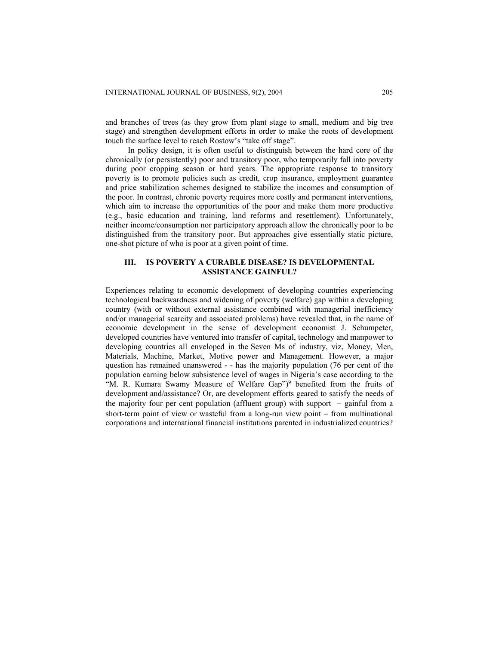and branches of trees (as they grow from plant stage to small, medium and big tree stage) and strengthen development efforts in order to make the roots of development touch the surface level to reach Rostow's "take off stage".

In policy design, it is often useful to distinguish between the hard core of the chronically (or persistently) poor and transitory poor, who temporarily fall into poverty during poor cropping season or hard years. The appropriate response to transitory poverty is to promote policies such as credit, crop insurance, employment guarantee and price stabilization schemes designed to stabilize the incomes and consumption of the poor. In contrast, chronic poverty requires more costly and permanent interventions, which aim to increase the opportunities of the poor and make them more productive (e.g., basic education and training, land reforms and resettlement). Unfortunately, neither income/consumption nor participatory approach allow the chronically poor to be distinguished from the transitory poor. But approaches give essentially static picture, one-shot picture of who is poor at a given point of time.

## **III. IS POVERTY A CURABLE DISEASE? IS DEVELOPMENTAL ASSISTANCE GAINFUL?**

Experiences relating to economic development of developing countries experiencing technological backwardness and widening of poverty (welfare) gap within a developing country (with or without external assistance combined with managerial inefficiency and/or managerial scarcity and associated problems) have revealed that, in the name of economic development in the sense of development economist J. Schumpeter, developed countries have ventured into transfer of capital, technology and manpower to developing countries all enveloped in the Seven Ms of industry, viz, Money, Men, Materials, Machine, Market, Motive power and Management. However, a major question has remained unanswered - - has the majority population (76 per cent of the population earning below subsistence level of wages in Nigeria's case according to the "M. R. Kumara Swamy Measure of Welfare Gap")<sup>9</sup> benefited from the fruits of development and/assistance? Or, are development efforts geared to satisfy the needs of the majority four per cent population (affluent group) with support − gainful from a short-term point of view or wasteful from a long-run view point − from multinational corporations and international financial institutions parented in industrialized countries?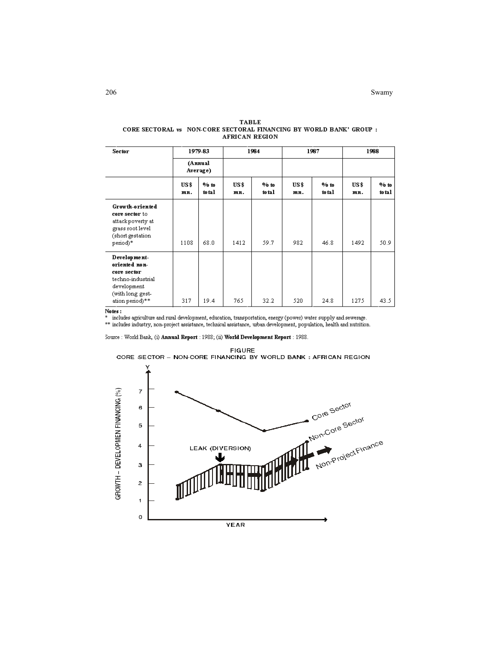206 Swamy Swamy and the state of the state of the state of the state of the Swamy Swamy

| <b>Sector</b>                                                                                                           |                     | 1979-83        |             | 1984           |             | 1987              |             | 1988            |  |
|-------------------------------------------------------------------------------------------------------------------------|---------------------|----------------|-------------|----------------|-------------|-------------------|-------------|-----------------|--|
|                                                                                                                         | (Annual<br>Average) |                |             |                |             |                   |             |                 |  |
|                                                                                                                         | US\$<br>mn.         | 96t0<br>to tal | US\$<br>mn. | 96t0<br>to tal | US\$<br>mn. | $96$ to<br>to tal | US\$<br>mn. | 96 to<br>to tal |  |
| Growth-oriented<br>core sector to<br>attack poverty at<br>grass root level<br>(short gestation<br>period)*              | 1108                | 68.0           | 1412        | 59.7           | 982         | 46.8              | 1492        | 50.9            |  |
| Development-<br>oriented non-<br>core sector<br>techno-industrial<br>development<br>(with long gest-<br>ation period)** | 317                 | 19.4           | 765         | 32.2           | 520         | 24.8              | 1275        | 43.5            |  |

#### **TABLE** CORE SECTORAL vs NON-CORE SECTORAL FINANCING BY WORLD BANK' GROUP : AFRICAN REGION

Notes :<br>\* includes agriculture and rural development, education, transportation, energy (power) water supply and sewerage.

\*\* includes industry, non-project assistance, technical assistance, urban development, population, health and nutrition.

Source: World Bank, (i) Annual Report: 1988; (ii) World Development Report: 1988.

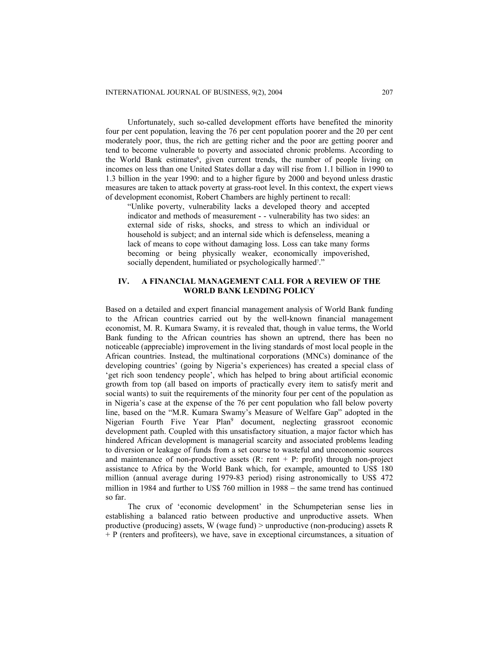Unfortunately, such so-called development efforts have benefited the minority four per cent population, leaving the 76 per cent population poorer and the 20 per cent moderately poor, thus, the rich are getting richer and the poor are getting poorer and tend to become vulnerable to poverty and associated chronic problems. According to the World Bank estimates<sup>6</sup>, given current trends, the number of people living on incomes on less than one United States dollar a day will rise from 1.1 billion in 1990 to 1.3 billion in the year 1990: and to a higher figure by 2000 and beyond unless drastic measures are taken to attack poverty at grass-root level. In this context, the expert views of development economist, Robert Chambers are highly pertinent to recall:

"Unlike poverty, vulnerability lacks a developed theory and accepted indicator and methods of measurement - - vulnerability has two sides: an external side of risks, shocks, and stress to which an individual or household is subject; and an internal side which is defenseless, meaning a lack of means to cope without damaging loss. Loss can take many forms becoming or being physically weaker, economically impoverished, socially dependent, humiliated or psychologically harmed<sup>7</sup>."

## **IV. A FINANCIAL MANAGEMENT CALL FOR A REVIEW OF THE WORLD BANK LENDING POLICY**

Based on a detailed and expert financial management analysis of World Bank funding to the African countries carried out by the well-known financial management economist, M. R. Kumara Swamy, it is revealed that, though in value terms, the World Bank funding to the African countries has shown an uptrend, there has been no noticeable (appreciable) improvement in the living standards of most local people in the African countries. Instead, the multinational corporations (MNCs) dominance of the developing countries' (going by Nigeria's experiences) has created a special class of 'get rich soon tendency people', which has helped to bring about artificial economic growth from top (all based on imports of practically every item to satisfy merit and social wants) to suit the requirements of the minority four per cent of the population as in Nigeria's case at the expense of the 76 per cent population who fall below poverty line, based on the "M.R. Kumara Swamy's Measure of Welfare Gap" adopted in the Nigerian Fourth Five Year Plan<sup>9</sup> document, neglecting grassroot economic development path. Coupled with this unsatisfactory situation, a major factor which has hindered African development is managerial scarcity and associated problems leading to diversion or leakage of funds from a set course to wasteful and uneconomic sources and maintenance of non-productive assets  $(R: rent + P: profit)$  through non-project assistance to Africa by the World Bank which, for example, amounted to US\$ 180 million (annual average during 1979-83 period) rising astronomically to US\$ 472 million in 1984 and further to US\$ 760 million in 1988 – the same trend has continued so far.

The crux of 'economic development' in the Schumpeterian sense lies in establishing a balanced ratio between productive and unproductive assets. When productive (producing) assets, W (wage fund) > unproductive (non-producing) assets R + P (renters and profiteers), we have, save in exceptional circumstances, a situation of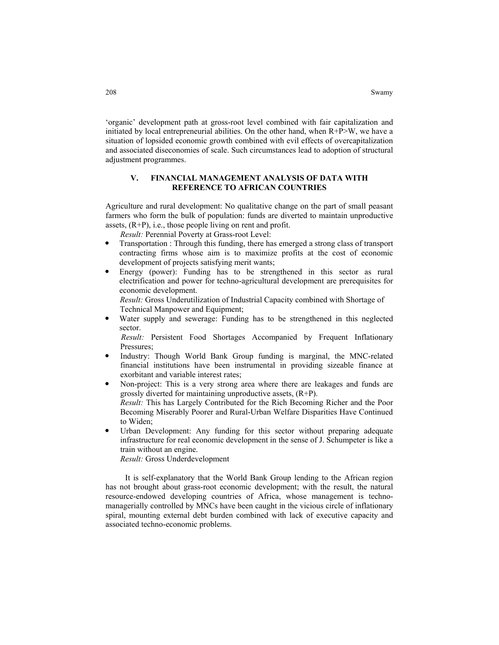'organic' development path at gross-root level combined with fair capitalization and initiated by local entrepreneurial abilities. On the other hand, when R+P>W, we have a situation of lopsided economic growth combined with evil effects of overcapitalization and associated diseconomies of scale. Such circumstances lead to adoption of structural adjustment programmes.

## **V. FINANCIAL MANAGEMENT ANALYSIS OF DATA WITH REFERENCE TO AFRICAN COUNTRIES**

Agriculture and rural development: No qualitative change on the part of small peasant farmers who form the bulk of population: funds are diverted to maintain unproductive assets, (R+P), i.e., those people living on rent and profit.

*Result:* Perennial Poverty at Grass-root Level:

- Transportation : Through this funding, there has emerged a strong class of transport contracting firms whose aim is to maximize profits at the cost of economic development of projects satisfying merit wants;
- Energy (power): Funding has to be strengthened in this sector as rural electrification and power for techno-agricultural development are prerequisites for economic development.

 *Result:* Gross Underutilization of Industrial Capacity combined with Shortage of Technical Manpower and Equipment;

Water supply and sewerage: Funding has to be strengthened in this neglected sector.

*Result:* Persistent Food Shortages Accompanied by Frequent Inflationary Pressures;

- Industry: Though World Bank Group funding is marginal, the MNC-related financial institutions have been instrumental in providing sizeable finance at exorbitant and variable interest rates;
- Non-project: This is a very strong area where there are leakages and funds are grossly diverted for maintaining unproductive assets, (R+P). *Result:* This has Largely Contributed for the Rich Becoming Richer and the Poor Becoming Miserably Poorer and Rural-Urban Welfare Disparities Have Continued to Widen;
- Urban Development: Any funding for this sector without preparing adequate infrastructure for real economic development in the sense of J. Schumpeter is like a train without an engine.

*Result:* Gross Underdevelopment

 It is self-explanatory that the World Bank Group lending to the African region has not brought about grass-root economic development; with the result, the natural resource-endowed developing countries of Africa, whose management is technomanagerially controlled by MNCs have been caught in the vicious circle of inflationary spiral, mounting external debt burden combined with lack of executive capacity and associated techno-economic problems.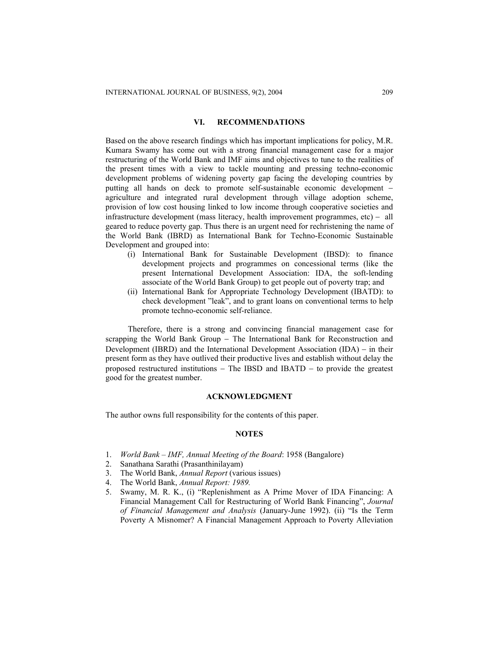## **VI. RECOMMENDATIONS**

Based on the above research findings which has important implications for policy, M.R. Kumara Swamy has come out with a strong financial management case for a major restructuring of the World Bank and IMF aims and objectives to tune to the realities of the present times with a view to tackle mounting and pressing techno-economic development problems of widening poverty gap facing the developing countries by putting all hands on deck to promote self-sustainable economic development − agriculture and integrated rural development through village adoption scheme, provision of low cost housing linked to low income through cooperative societies and infrastructure development (mass literacy, health improvement programmes, etc) − all geared to reduce poverty gap. Thus there is an urgent need for rechristening the name of the World Bank (IBRD) as International Bank for Techno-Economic Sustainable Development and grouped into:

- (i) International Bank for Sustainable Development (IBSD): to finance development projects and programmes on concessional terms (like the present International Development Association: IDA, the soft-lending associate of the World Bank Group) to get people out of poverty trap; and
- (ii) International Bank for Appropriate Technology Development (IBATD): to check development "leak", and to grant loans on conventional terms to help promote techno-economic self-reliance.

 Therefore, there is a strong and convincing financial management case for scrapping the World Bank Group - The International Bank for Reconstruction and Development (IBRD) and the International Development Association (IDA) − in their present form as they have outlived their productive lives and establish without delay the proposed restructured institutions − The IBSD and IBATD − to provide the greatest good for the greatest number.

## **ACKNOWLEDGMENT**

The author owns full responsibility for the contents of this paper.

#### **NOTES**

- 1. *World Bank IMF, Annual Meeting of the Board*: 1958 (Bangalore)
- 2. Sanathana Sarathi (Prasanthinilayam)
- 3. The World Bank, *Annual Report* (various issues)
- 4. The World Bank, *Annual Report: 1989.*
- 5. Swamy, M. R. K., (i) "Replenishment as A Prime Mover of IDA Financing: A Financial Management Call for Restructuring of World Bank Financing", *Journal of Financial Management and Analysis* (January-June 1992). (ii) "Is the Term Poverty A Misnomer? A Financial Management Approach to Poverty Alleviation